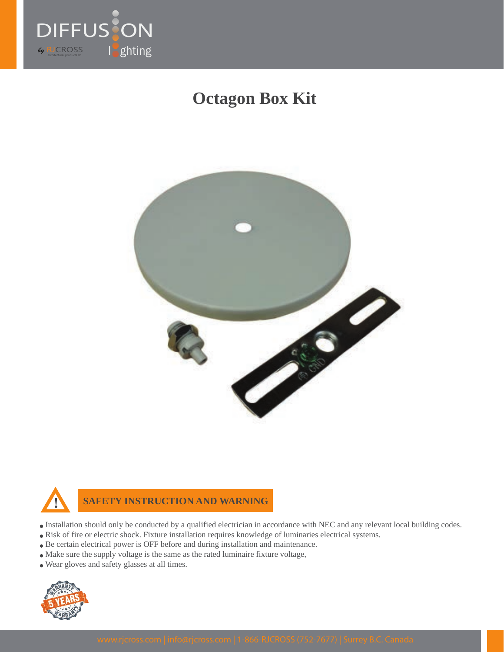

# **Octagon Box Kit**





**SAFETY INSTRUCTION AND WARNING**

- Installation should only be conducted by a qualified electrician in accordance with NEC and any relevant local building codes.
- Risk of fire or electric shock. Fixture installation requires knowledge of luminaries electrical systems.
- Be certain electrical power is OFF before and during installation and maintenance.
- Make sure the supply voltage is the same as the rated luminaire fixture voltage,
- Wear gloves and safety glasses at all times.

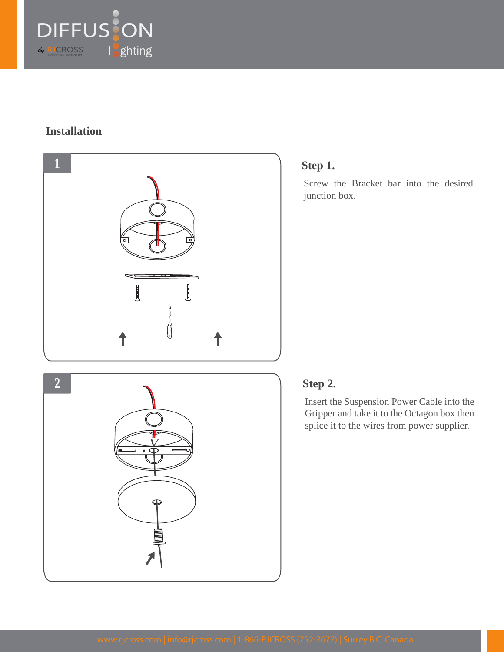

#### **Installation**



### **Step 1.**

Screw the Bracket bar into the desired junction box.

# **Step 2.**

Insert the Suspension Power Cable into the Gripper and take it to the Octagon box then splice it to the wires from power supplier.